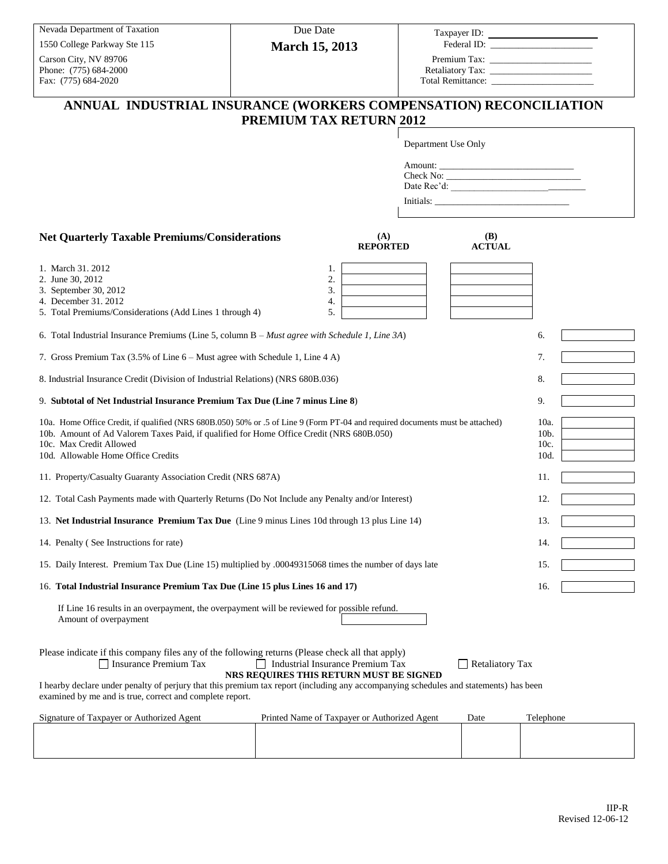| Nevada Department of Taxation                                                                                                                                                                                                                                                                                                                                                                                                                  | Due Date                                     |      |                             | Taxpayer ID: |  |  |
|------------------------------------------------------------------------------------------------------------------------------------------------------------------------------------------------------------------------------------------------------------------------------------------------------------------------------------------------------------------------------------------------------------------------------------------------|----------------------------------------------|------|-----------------------------|--------------|--|--|
| 1550 College Parkway Ste 115                                                                                                                                                                                                                                                                                                                                                                                                                   | <b>March 15, 2013</b>                        |      |                             |              |  |  |
| Carson City, NV 89706<br>Phone: (775) 684-2000                                                                                                                                                                                                                                                                                                                                                                                                 |                                              |      |                             |              |  |  |
| Fax: (775) 684-2020                                                                                                                                                                                                                                                                                                                                                                                                                            |                                              |      |                             |              |  |  |
|                                                                                                                                                                                                                                                                                                                                                                                                                                                |                                              |      |                             |              |  |  |
| ANNUAL INDUSTRIAL INSURANCE (WORKERS COMPENSATION) RECONCILIATION<br><b>PREMIUM TAX RETURN 2012</b>                                                                                                                                                                                                                                                                                                                                            |                                              |      |                             |              |  |  |
| Department Use Only                                                                                                                                                                                                                                                                                                                                                                                                                            |                                              |      |                             |              |  |  |
|                                                                                                                                                                                                                                                                                                                                                                                                                                                |                                              |      |                             |              |  |  |
|                                                                                                                                                                                                                                                                                                                                                                                                                                                |                                              |      |                             |              |  |  |
|                                                                                                                                                                                                                                                                                                                                                                                                                                                |                                              |      |                             |              |  |  |
|                                                                                                                                                                                                                                                                                                                                                                                                                                                |                                              |      |                             |              |  |  |
| <b>Net Quarterly Taxable Premiums/Considerations</b>                                                                                                                                                                                                                                                                                                                                                                                           | (A)<br><b>REPORTED</b>                       |      | <b>(B)</b><br><b>ACTUAL</b> |              |  |  |
| 1. March 31. 2012                                                                                                                                                                                                                                                                                                                                                                                                                              | 1.                                           |      |                             |              |  |  |
| 2. June 30, 2012                                                                                                                                                                                                                                                                                                                                                                                                                               | 2.                                           |      |                             |              |  |  |
| 3. September 30, 2012<br>4. December 31, 2012                                                                                                                                                                                                                                                                                                                                                                                                  | 3.<br>4.                                     |      |                             |              |  |  |
| 5. Total Premiums/Considerations (Add Lines 1 through 4)                                                                                                                                                                                                                                                                                                                                                                                       | 5.                                           |      |                             |              |  |  |
| 6. Total Industrial Insurance Premiums (Line 5, column B - Must agree with Schedule 1, Line 3A)                                                                                                                                                                                                                                                                                                                                                |                                              |      |                             | 6.           |  |  |
| 7. Gross Premium Tax (3.5% of Line 6 – Must agree with Schedule 1, Line 4 A)                                                                                                                                                                                                                                                                                                                                                                   | 7.                                           |      |                             |              |  |  |
| 8. Industrial Insurance Credit (Division of Industrial Relations) (NRS 680B.036)                                                                                                                                                                                                                                                                                                                                                               | 8.                                           |      |                             |              |  |  |
| 9. Subtotal of Net Industrial Insurance Premium Tax Due (Line 7 minus Line 8)                                                                                                                                                                                                                                                                                                                                                                  |                                              | 9.   |                             |              |  |  |
| 10a. Home Office Credit, if qualified (NRS 680B.050) 50% or .5 of Line 9 (Form PT-04 and required documents must be attached)                                                                                                                                                                                                                                                                                                                  |                                              | 10a. |                             |              |  |  |
| 10b. Amount of Ad Valorem Taxes Paid, if qualified for Home Office Credit (NRS 680B.050)                                                                                                                                                                                                                                                                                                                                                       |                                              |      |                             | 10b.         |  |  |
| 10c. Max Credit Allowed<br>10d. Allowable Home Office Credits                                                                                                                                                                                                                                                                                                                                                                                  |                                              |      |                             | 10c.<br>10d. |  |  |
|                                                                                                                                                                                                                                                                                                                                                                                                                                                | 11.                                          |      |                             |              |  |  |
| 11. Property/Casualty Guaranty Association Credit (NRS 687A)<br>12. Total Cash Payments made with Quarterly Returns (Do Not Include any Penalty and/or Interest)                                                                                                                                                                                                                                                                               | 12.                                          |      |                             |              |  |  |
|                                                                                                                                                                                                                                                                                                                                                                                                                                                |                                              |      |                             |              |  |  |
| 13. Net Industrial Insurance Premium Tax Due (Line 9 minus Lines 10d through 13 plus Line 14)                                                                                                                                                                                                                                                                                                                                                  | 13.                                          |      |                             |              |  |  |
| 14. Penalty (See Instructions for rate)                                                                                                                                                                                                                                                                                                                                                                                                        | 14.                                          |      |                             |              |  |  |
| 15. Daily Interest. Premium Tax Due (Line 15) multiplied by .00049315068 times the number of days late                                                                                                                                                                                                                                                                                                                                         | 15.                                          |      |                             |              |  |  |
| 16. Total Industrial Insurance Premium Tax Due (Line 15 plus Lines 16 and 17)                                                                                                                                                                                                                                                                                                                                                                  |                                              |      |                             | 16.          |  |  |
| If Line 16 results in an overpayment, the overpayment will be reviewed for possible refund.<br>Amount of overpayment                                                                                                                                                                                                                                                                                                                           |                                              |      |                             |              |  |  |
| Please indicate if this company files any of the following returns (Please check all that apply)<br><b>Insurance Premium Tax</b><br>Industrial Insurance Premium Tax<br>$\Box$ Retaliatory Tax<br>NRS REQUIRES THIS RETURN MUST BE SIGNED<br>I hearby declare under penalty of perjury that this premium tax report (including any accompanying schedules and statements) has been<br>examined by me and is true, correct and complete report. |                                              |      |                             |              |  |  |
|                                                                                                                                                                                                                                                                                                                                                                                                                                                |                                              |      |                             |              |  |  |
| Signature of Taxpayer or Authorized Agent                                                                                                                                                                                                                                                                                                                                                                                                      | Printed Name of Taxpayer or Authorized Agent |      | Date                        | Telephone    |  |  |
|                                                                                                                                                                                                                                                                                                                                                                                                                                                |                                              |      |                             |              |  |  |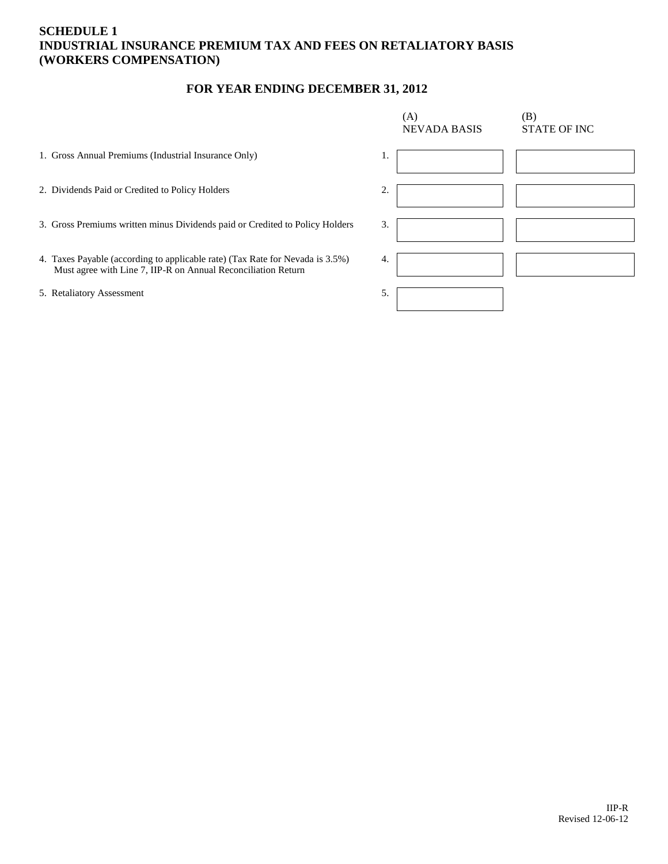# **SCHEDULE 1 INDUSTRIAL INSURANCE PREMIUM TAX AND FEES ON RETALIATORY BASIS (WORKERS COMPENSATION)**

# **FOR YEAR ENDING DECEMBER 31, 2012**

|                                                                                                                                                | (A)<br><b>NEVADA BASIS</b> | (B)<br><b>STATE OF INC</b> |
|------------------------------------------------------------------------------------------------------------------------------------------------|----------------------------|----------------------------|
| 1. Gross Annual Premiums (Industrial Insurance Only)                                                                                           | .,                         |                            |
| 2. Dividends Paid or Credited to Policy Holders                                                                                                | 2.                         |                            |
| 3. Gross Premiums written minus Dividends paid or Credited to Policy Holders                                                                   | 3.                         |                            |
| 4. Taxes Payable (according to applicable rate) (Tax Rate for Nevada is 3.5%)<br>Must agree with Line 7, IIP-R on Annual Reconciliation Return | 4.                         |                            |
| 5. Retaliatory Assessment                                                                                                                      | 5.                         |                            |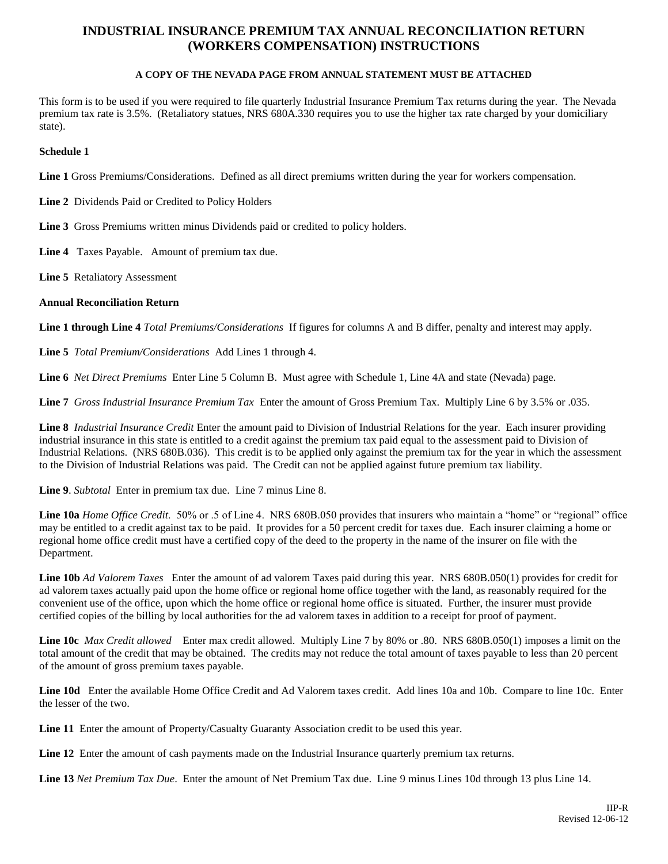### **INDUSTRIAL INSURANCE PREMIUM TAX ANNUAL RECONCILIATION RETURN (WORKERS COMPENSATION) INSTRUCTIONS**

#### **A COPY OF THE NEVADA PAGE FROM ANNUAL STATEMENT MUST BE ATTACHED**

This form is to be used if you were required to file quarterly Industrial Insurance Premium Tax returns during the year. The Nevada premium tax rate is 3.5%. (Retaliatory statues, NRS 680A.330 requires you to use the higher tax rate charged by your domiciliary state).

### **Schedule 1**

**Line 1** Gross Premiums/Considerations. Defined as all direct premiums written during the year for workers compensation.

**Line 2** Dividends Paid or Credited to Policy Holders

**Line 3** Gross Premiums written minus Dividends paid or credited to policy holders.

**Line 4** Taxes Payable. Amount of premium tax due.

**Line 5** Retaliatory Assessment

#### **Annual Reconciliation Return**

Line 1 through Line 4 *Total Premiums/Considerations* If figures for columns A and B differ, penalty and interest may apply.

**Line 5** *Total Premium/Considerations* Add Lines 1 through 4.

**Line 6** *Net Direct Premiums* Enter Line 5 Column B. Must agree with Schedule 1, Line 4A and state (Nevada) page.

**Line 7** *Gross Industrial Insurance Premium Tax* Enter the amount of Gross Premium Tax. Multiply Line 6 by 3.5% or .035.

**Line 8** *Industrial Insurance Credit* Enter the amount paid to Division of Industrial Relations for the year. Each insurer providing industrial insurance in this state is entitled to a credit against the premium tax paid equal to the assessment paid to Division of Industrial Relations. (NRS 680B.036). This credit is to be applied only against the premium tax for the year in which the assessment to the Division of Industrial Relations was paid. The Credit can not be applied against future premium tax liability.

**Line 9**. *Subtotal* Enter in premium tax due. Line 7 minus Line 8.

**Line 10a** *Home Office Credit*. 50% or .5 of Line 4. NRS 680B.050 provides that insurers who maintain a "home" or "regional" office may be entitled to a credit against tax to be paid. It provides for a 50 percent credit for taxes due. Each insurer claiming a home or regional home office credit must have a certified copy of the deed to the property in the name of the insurer on file with the Department.

**Line 10b** *Ad Valorem Taxes* Enter the amount of ad valorem Taxes paid during this year. NRS 680B.050(1) provides for credit for ad valorem taxes actually paid upon the home office or regional home office together with the land, as reasonably required for the convenient use of the office, upon which the home office or regional home office is situated. Further, the insurer must provide certified copies of the billing by local authorities for the ad valorem taxes in addition to a receipt for proof of payment.

**Line 10c** *Max Credit allowed* Enter max credit allowed. Multiply Line 7 by 80% or .80. NRS 680B.050(1) imposes a limit on the total amount of the credit that may be obtained. The credits may not reduce the total amount of taxes payable to less than 20 percent of the amount of gross premium taxes payable.

**Line 10d** Enter the available Home Office Credit and Ad Valorem taxes credit. Add lines 10a and 10b. Compare to line 10c. Enter the lesser of the two.

Line 11 Enter the amount of Property/Casualty Guaranty Association credit to be used this year.

Line 12 Enter the amount of cash payments made on the Industrial Insurance quarterly premium tax returns.

**Line 13** *Net Premium Tax Due*. Enter the amount of Net Premium Tax due. Line 9 minus Lines 10d through 13 plus Line 14.